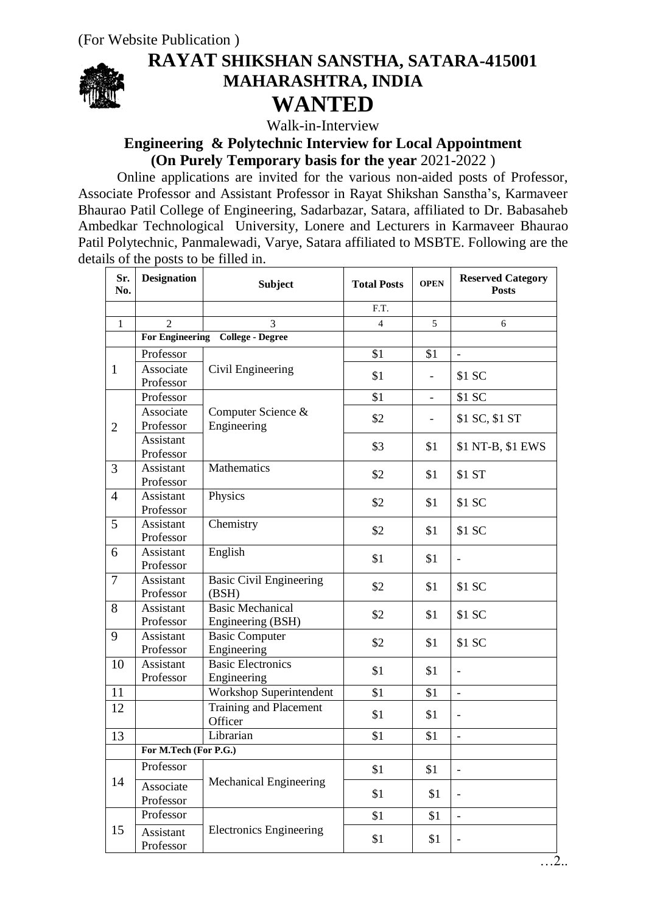

# **RAYAT SHIKSHAN SANSTHA, SATARA-415001 MAHARASHTRA, INDIA WANTED**

Walk-in-Interview

**Engineering & Polytechnic Interview for Local Appointment (On Purely Temporary basis for the year** 2021-2022 )

Online applications are invited for the various non-aided posts of Professor, Associate Professor and Assistant Professor in Rayat Shikshan Sanstha's, Karmaveer Bhaurao Patil College of Engineering, Sadarbazar, Satara, affiliated to Dr. Babasaheb Ambedkar Technological University, Lonere and Lecturers in Karmaveer Bhaurao Patil Polytechnic, Panmalewadi, Varye, Satara affiliated to MSBTE. Following are the details of the posts to be filled in.

| Sr.<br>No.               | <b>Designation</b>     | <b>Subject</b>                               | <b>Total Posts</b> | <b>OPEN</b> | <b>Reserved Category</b><br><b>Posts</b> |
|--------------------------|------------------------|----------------------------------------------|--------------------|-------------|------------------------------------------|
|                          |                        |                                              | F.T.               |             |                                          |
| 1                        | $\mathfrak{D}$         | 3                                            | $\overline{4}$     | 5           | 6                                        |
|                          | <b>For Engineering</b> | <b>College - Degree</b>                      |                    |             |                                          |
|                          | Professor              |                                              | \$1                | \$1         | $\frac{1}{2}$                            |
| 1                        | Associate<br>Professor | Civil Engineering                            | \$1                |             | \$1 SC                                   |
|                          | Professor              |                                              | \$1                | $\equiv$    | \$1 SC                                   |
| $\overline{2}$           | Associate<br>Professor | Computer Science &<br>Engineering            | \$2                |             | \$1 SC, \$1 ST                           |
|                          | Assistant<br>Professor |                                              | \$3                | \$1         | \$1 NT-B, \$1 EWS                        |
| 3                        | Assistant<br>Professor | Mathematics                                  | \$2                | \$1         | \$1 ST                                   |
| $\overline{4}$           | Assistant<br>Professor | Physics                                      | \$2                | \$1         | \$1 SC                                   |
| 5                        | Assistant<br>Professor | Chemistry                                    | \$2                | \$1         | \$1 SC                                   |
| 6                        | Assistant<br>Professor | English                                      | \$1                | \$1         | $\overline{\phantom{0}}$                 |
| $\overline{\mathcal{L}}$ | Assistant<br>Professor | <b>Basic Civil Engineering</b><br>(BSH)      | \$2                | \$1         | \$1 SC                                   |
| 8                        | Assistant<br>Professor | <b>Basic Mechanical</b><br>Engineering (BSH) | \$2                | \$1         | \$1 SC                                   |
| 9                        | Assistant<br>Professor | <b>Basic Computer</b><br>Engineering         | \$2                | \$1         | \$1 SC                                   |
| 10                       | Assistant<br>Professor | <b>Basic Electronics</b><br>Engineering      | \$1                | \$1         | $\overline{a}$                           |
| 11                       |                        | Workshop Superintendent                      | \$1                | \$1         | $\overline{a}$                           |
| 12                       |                        | Training and Placement<br>Officer            | \$1                | \$1         | $\frac{1}{2}$                            |
| 13                       | Librarian              |                                              | \$1                | \$1         | $\overline{\phantom{0}}$                 |
|                          | For M.Tech (For P.G.)  |                                              |                    |             |                                          |
|                          | Professor              |                                              | \$1                | \$1         |                                          |
| 14                       | Associate<br>Professor | <b>Mechanical Engineering</b>                | \$1                | \$1         |                                          |
|                          | Professor              |                                              | \$1                | \$1         | $\overline{\phantom{0}}$                 |
| 15                       | Assistant<br>Professor | <b>Electronics Engineering</b>               | \$1                | \$1         | $\overline{a}$                           |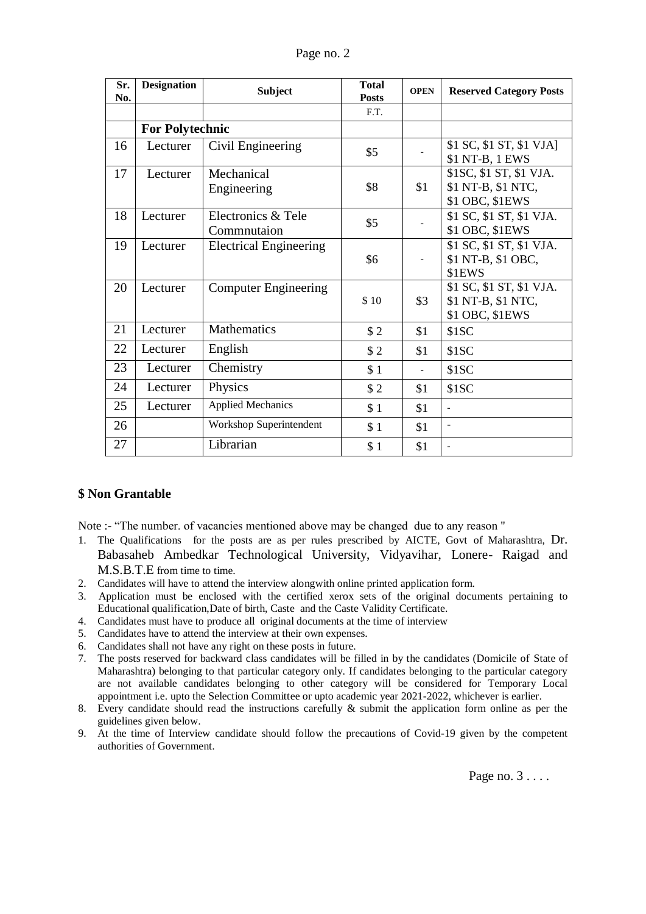| Page no. 2 |  |  |
|------------|--|--|
|------------|--|--|

| Sr. | <b>Designation</b>     | <b>Subject</b>                    | <b>Total</b> | <b>OPEN</b> | <b>Reserved Category Posts</b>                                    |
|-----|------------------------|-----------------------------------|--------------|-------------|-------------------------------------------------------------------|
| No. |                        |                                   | <b>Posts</b> |             |                                                                   |
|     |                        |                                   | F.T.         |             |                                                                   |
|     | <b>For Polytechnic</b> |                                   |              |             |                                                                   |
| 16  | Lecturer               | Civil Engineering                 | \$5          |             | \$1 SC, \$1 ST, \$1 VJA]<br>\$1 NT-B, 1 EWS                       |
| 17  | Lecturer               | Mechanical<br>Engineering         | \$8          | \$1         | \$1SC, \$1 ST, \$1 VJA.<br>\$1 NT-B, \$1 NTC,<br>\$1 OBC, \$1EWS  |
| 18  | Lecturer               | Electronics & Tele<br>Commnutaion | \$5          |             | \$1 SC, \$1 ST, \$1 VJA.<br>\$1 OBC, \$1EWS                       |
| 19  | Lecturer               | <b>Electrical Engineering</b>     | \$6          |             | \$1 SC, \$1 ST, \$1 VJA.<br>\$1 NT-B, \$1 OBC,<br>\$1EWS          |
| 20  | Lecturer               | <b>Computer Engineering</b>       | \$10         | \$3         | \$1 SC, \$1 ST, \$1 VJA.<br>\$1 NT-B, \$1 NTC,<br>\$1 OBC, \$1EWS |
| 21  | Lecturer               | <b>Mathematics</b>                | \$2          | \$1         | \$1SC                                                             |
| 22  | Lecturer               | English                           | $\$$ 2       | \$1         | \$1SC                                                             |
| 23  | Lecturer               | Chemistry                         | \$1          |             | \$1SC                                                             |
| 24  | Lecturer               | Physics                           | \$2          | \$1         | \$1SC                                                             |
| 25  | Lecturer               | <b>Applied Mechanics</b>          | \$1          | \$1         | $\overline{\phantom{a}}$                                          |
| 26  |                        | Workshop Superintendent           | \$1          | \$1         | $\blacksquare$                                                    |
| 27  |                        | Librarian                         | \$1          | \$1         |                                                                   |

#### **\$ Non Grantable**

Note :- "The number. of vacancies mentioned above may be changed due to any reason ''

- 1. The Qualifications for the posts are as per rules prescribed by AICTE, Govt of Maharashtra, Dr. Babasaheb Ambedkar Technological University, Vidyavihar, Lonere- Raigad and M.S.B.T.E from time to time.
- 2. Candidates will have to attend the interview alongwith online printed application form.
- 3. Application must be enclosed with the certified xerox sets of the original documents pertaining to Educational qualification,Date of birth, Caste and the Caste Validity Certificate.
- 4. Candidates must have to produce all original documents at the time of interview
- 5. Candidates have to attend the interview at their own expenses.
- 6. Candidates shall not have any right on these posts in future.
- 7. The posts reserved for backward class candidates will be filled in by the candidates (Domicile of State of Maharashtra) belonging to that particular category only. If candidates belonging to the particular category are not available candidates belonging to other category will be considered for Temporary Local appointment i.e. upto the Selection Committee or upto academic year 2021-2022, whichever is earlier.
- 8. Every candidate should read the instructions carefully & submit the application form online as per the guidelines given below.
- 9. At the time of Interview candidate should follow the precautions of Covid-19 given by the competent authorities of Government.

Page no. 3 . . . .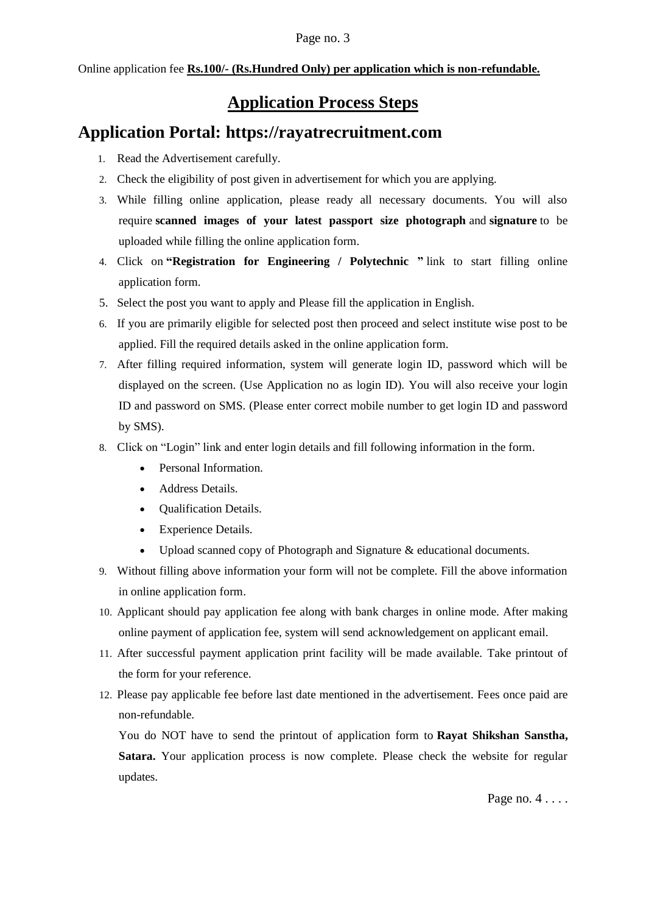#### Page no. 3

Online application fee **Rs.100/- (Rs.Hundred Only) per application which is non-refundable.**

## **Application Process Steps**

### **Application Portal: https://rayatrecruitment.com**

- 1. Read the Advertisement carefully.
- 2. Check the eligibility of post given in advertisement for which you are applying.
- 3. While filling online application, please ready all necessary documents. You will also require **scanned images of your latest passport size photograph** and **signature** to be uploaded while filling the online application form.
- 4. Click on **"Registration for Engineering / Polytechnic "** link to start filling online application form.
- 5. Select the post you want to apply and Please fill the application in English.
- 6. If you are primarily eligible for selected post then proceed and select institute wise post to be applied. Fill the required details asked in the online application form.
- 7. After filling required information, system will generate login ID, password which will be displayed on the screen. (Use Application no as login ID). You will also receive your login ID and password on SMS. (Please enter correct mobile number to get login ID and password by SMS).
- 8. Click on "Login" link and enter login details and fill following information in the form.
	- Personal Information.
	- Address Details.
	- Oualification Details.
	- Experience Details.
	- Upload scanned copy of Photograph and Signature & educational documents.
- 9. Without filling above information your form will not be complete. Fill the above information in online application form.
- 10. Applicant should pay application fee along with bank charges in online mode. After making online payment of application fee, system will send acknowledgement on applicant email.
- 11. After successful payment application print facility will be made available. Take printout of the form for your reference.
- 12. Please pay applicable fee before last date mentioned in the advertisement. Fees once paid are non-refundable.

You do NOT have to send the printout of application form to **Rayat Shikshan Sanstha, Satara.** Your application process is now complete. Please check the website for regular updates.

Page no. 4 . . . .